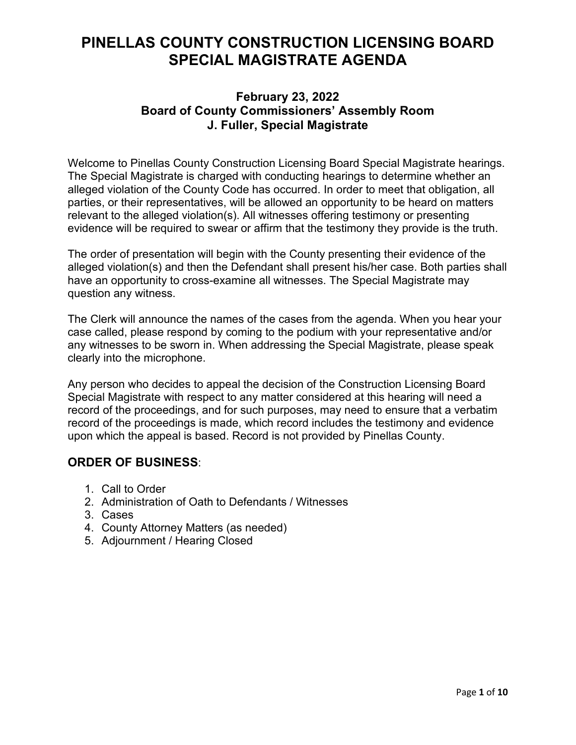# **PINELLAS COUNTY CONSTRUCTION LICENSING BOARD SPECIAL MAGISTRATE AGENDA**

### **February 23, 2022 Board of County Commissioners' Assembly Room J. Fuller, Special Magistrate**

Welcome to Pinellas County Construction Licensing Board Special Magistrate hearings. The Special Magistrate is charged with conducting hearings to determine whether an alleged violation of the County Code has occurred. In order to meet that obligation, all parties, or their representatives, will be allowed an opportunity to be heard on matters relevant to the alleged violation(s). All witnesses offering testimony or presenting evidence will be required to swear or affirm that the testimony they provide is the truth.

The order of presentation will begin with the County presenting their evidence of the alleged violation(s) and then the Defendant shall present his/her case. Both parties shall have an opportunity to cross-examine all witnesses. The Special Magistrate may question any witness.

The Clerk will announce the names of the cases from the agenda. When you hear your case called, please respond by coming to the podium with your representative and/or any witnesses to be sworn in. When addressing the Special Magistrate, please speak clearly into the microphone.

Any person who decides to appeal the decision of the Construction Licensing Board Special Magistrate with respect to any matter considered at this hearing will need a record of the proceedings, and for such purposes, may need to ensure that a verbatim record of the proceedings is made, which record includes the testimony and evidence upon which the appeal is based. Record is not provided by Pinellas County.

## **ORDER OF BUSINESS**:

- 1. Call to Order
- 2. Administration of Oath to Defendants / Witnesses
- 3. Cases
- 4. County Attorney Matters (as needed)
- 5. Adjournment / Hearing Closed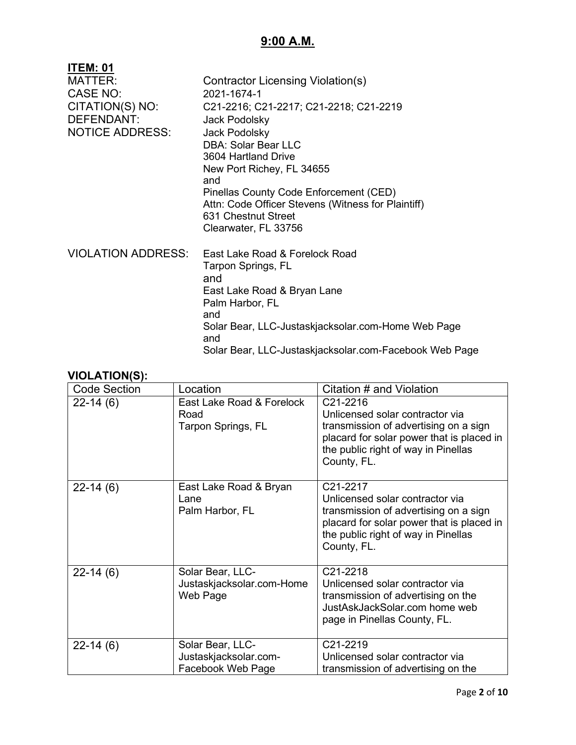# **9:00 A.M.**

| <b>ITEM: 01</b>           |                                                                           |
|---------------------------|---------------------------------------------------------------------------|
| <b>MATTER:</b>            | Contractor Licensing Violation(s)                                         |
| <b>CASE NO:</b>           | 2021-1674-1                                                               |
| CITATION(S) NO:           | C21-2216; C21-2217; C21-2218; C21-2219                                    |
| <b>DEFENDANT:</b>         | Jack Podolsky                                                             |
| <b>NOTICE ADDRESS:</b>    | Jack Podolsky                                                             |
|                           | <b>DBA: Solar Bear LLC</b>                                                |
|                           | 3604 Hartland Drive                                                       |
|                           | New Port Richey, FL 34655                                                 |
|                           | and                                                                       |
|                           | Pinellas County Code Enforcement (CED)                                    |
|                           | Attn: Code Officer Stevens (Witness for Plaintiff)<br>631 Chestnut Street |
|                           | Clearwater, FL 33756                                                      |
|                           |                                                                           |
| <b>VIOLATION ADDRESS:</b> | East Lake Road & Forelock Road                                            |
|                           | Tarpon Springs, FL                                                        |
|                           | and                                                                       |
|                           | East Lake Road & Bryan Lane                                               |
|                           | Palm Harbor, FL                                                           |
|                           | and                                                                       |
|                           | Solar Bear, LLC-Justaskjacksolar.com-Home Web Page                        |
|                           | and                                                                       |
|                           | Solar Bear, LLC-Justaskjacksolar.com-Facebook Web Page                    |

| <b>Code Section</b> | Location                                                       | Citation # and Violation                                                                                                                                                                |
|---------------------|----------------------------------------------------------------|-----------------------------------------------------------------------------------------------------------------------------------------------------------------------------------------|
| $22 - 14(6)$        | East Lake Road & Forelock<br>Road<br>Tarpon Springs, FL        | C21-2216<br>Unlicensed solar contractor via<br>transmission of advertising on a sign<br>placard for solar power that is placed in<br>the public right of way in Pinellas<br>County, FL. |
| $22-14(6)$          | East Lake Road & Bryan<br>Lane<br>Palm Harbor, FL              | C21-2217<br>Unlicensed solar contractor via<br>transmission of advertising on a sign<br>placard for solar power that is placed in<br>the public right of way in Pinellas<br>County, FL. |
| $22 - 14(6)$        | Solar Bear, LLC-<br>Justaskjacksolar.com-Home<br>Web Page      | C21-2218<br>Unlicensed solar contractor via<br>transmission of advertising on the<br>JustAskJackSolar.com home web<br>page in Pinellas County, FL.                                      |
| $22-14(6)$          | Solar Bear, LLC-<br>Justaskjacksolar.com-<br>Facebook Web Page | C21-2219<br>Unlicensed solar contractor via<br>transmission of advertising on the                                                                                                       |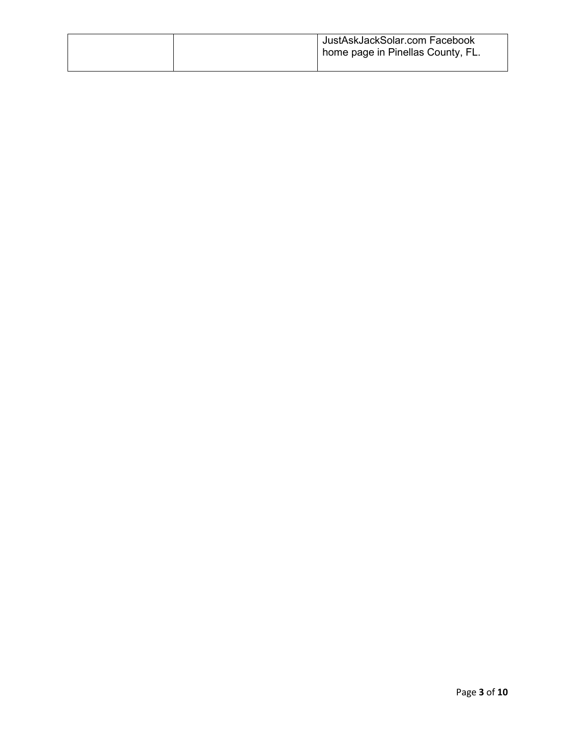|  | JustAskJackSolar.com Facebook<br>I home page in Pinellas County, FL. |
|--|----------------------------------------------------------------------|
|  |                                                                      |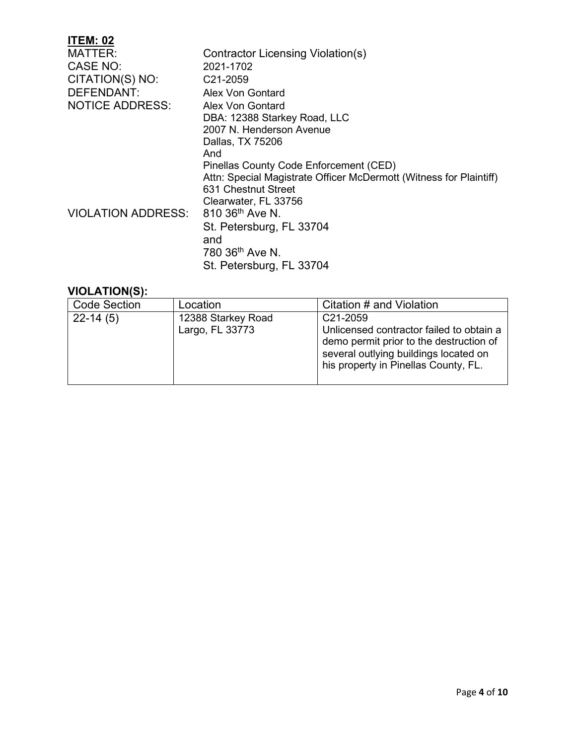# **ITEM: 02**

| <b>MATTER:</b>            | Contractor Licensing Violation(s)                                  |  |
|---------------------------|--------------------------------------------------------------------|--|
| CASE NO:                  | 2021-1702                                                          |  |
| CITATION(S) NO:           | C21-2059                                                           |  |
| <b>DEFENDANT:</b>         | Alex Von Gontard                                                   |  |
| <b>NOTICE ADDRESS:</b>    | Alex Von Gontard                                                   |  |
|                           | DBA: 12388 Starkey Road, LLC                                       |  |
|                           | 2007 N. Henderson Avenue                                           |  |
|                           | Dallas, TX 75206                                                   |  |
|                           | And                                                                |  |
|                           | Pinellas County Code Enforcement (CED)                             |  |
|                           | Attn: Special Magistrate Officer McDermott (Witness for Plaintiff) |  |
|                           | 631 Chestnut Street                                                |  |
|                           | Clearwater, FL 33756                                               |  |
| <b>VIOLATION ADDRESS:</b> | 810 36 <sup>th</sup> Ave N.                                        |  |
|                           | St. Petersburg, FL 33704                                           |  |
|                           | and                                                                |  |
|                           | 780 36 <sup>th</sup> Ave N.                                        |  |
|                           | St. Petersburg, FL 33704                                           |  |
|                           |                                                                    |  |

| <b>Code Section</b> | Location                              | Citation # and Violation                                                                                                                                                                      |
|---------------------|---------------------------------------|-----------------------------------------------------------------------------------------------------------------------------------------------------------------------------------------------|
| $22-14(5)$          | 12388 Starkey Road<br>Largo, FL 33773 | C <sub>21</sub> -2059<br>Unlicensed contractor failed to obtain a<br>demo permit prior to the destruction of<br>several outlying buildings located on<br>his property in Pinellas County, FL. |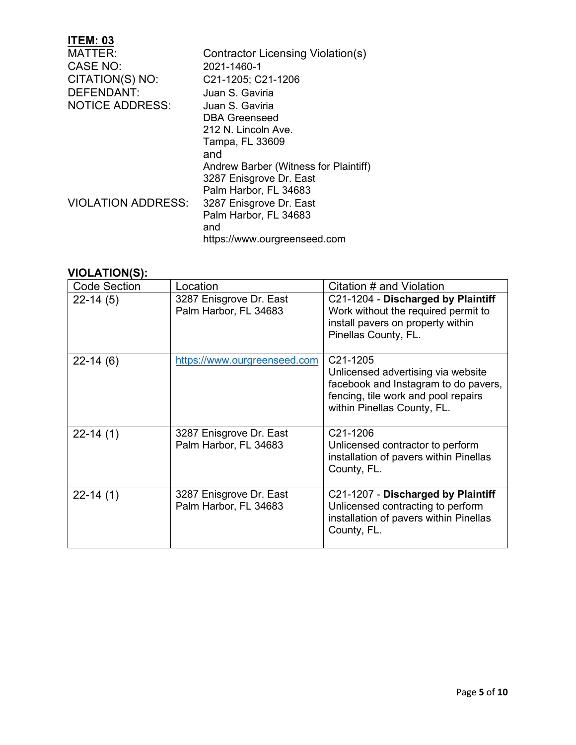| <b>ITEM: 03</b>           |                                       |
|---------------------------|---------------------------------------|
| MATTER:                   | Contractor Licensing Violation(s)     |
| <b>CASE NO:</b>           | 2021-1460-1                           |
| CITATION(S) NO:           | C21-1205; C21-1206                    |
| <b>DEFENDANT:</b>         | Juan S. Gaviria                       |
| <b>NOTICE ADDRESS:</b>    | Juan S. Gaviria                       |
|                           | DBA Greenseed                         |
|                           | 212 N. Lincoln Ave.                   |
|                           | Tampa, FL 33609                       |
|                           | and                                   |
|                           | Andrew Barber (Witness for Plaintiff) |
|                           | 3287 Enisgrove Dr. East               |
|                           | Palm Harbor, FL 34683                 |
| <b>VIOLATION ADDRESS:</b> | 3287 Enisgrove Dr. East               |
|                           | Palm Harbor, FL 34683                 |
|                           | and                                   |
|                           | https://www.ourgreenseed.com          |

| <b>Code Section</b> | Location                                         | Citation # and Violation                                                                                                                                                  |
|---------------------|--------------------------------------------------|---------------------------------------------------------------------------------------------------------------------------------------------------------------------------|
| $22-14(5)$          | 3287 Enisgrove Dr. East<br>Palm Harbor, FL 34683 | C21-1204 - Discharged by Plaintiff<br>Work without the required permit to<br>install pavers on property within<br>Pinellas County, FL.                                    |
| $22-14(6)$          | https://www.ourgreenseed.com                     | C <sub>21</sub> -1205<br>Unlicensed advertising via website<br>facebook and Instagram to do pavers,<br>fencing, tile work and pool repairs<br>within Pinellas County, FL. |
| $22 - 14(1)$        | 3287 Enisgrove Dr. East<br>Palm Harbor, FL 34683 | C <sub>21</sub> -1206<br>Unlicensed contractor to perform<br>installation of pavers within Pinellas<br>County, FL.                                                        |
| $22 - 14(1)$        | 3287 Enisgrove Dr. East<br>Palm Harbor, FL 34683 | C21-1207 - Discharged by Plaintiff<br>Unlicensed contracting to perform<br>installation of pavers within Pinellas<br>County, FL.                                          |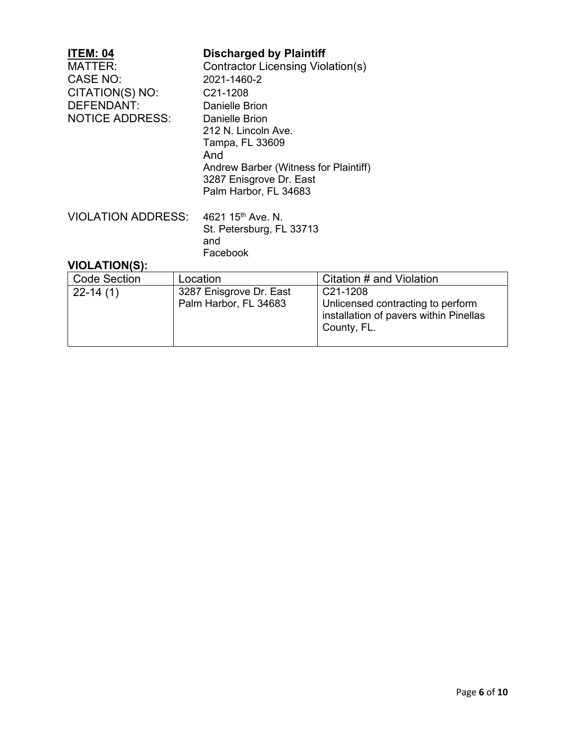| <b>ITEM: 04</b><br>MATTER:<br><b>CASE NO:</b><br>CITATION(S) NO:<br>DEFENDANT:<br><b>NOTICE ADDRESS:</b> | <b>Discharged by Plaintiff</b><br>Contractor Licensing Violation(s)<br>2021-1460-2<br>C <sub>21</sub> -1208<br><b>Danielle Brion</b><br>Danielle Brion<br>212 N. Lincoln Ave.<br>Tampa, FL 33609<br>And<br>Andrew Barber (Witness for Plaintiff)<br>3287 Enisgrove Dr. East<br>Palm Harbor, FL 34683 |
|----------------------------------------------------------------------------------------------------------|------------------------------------------------------------------------------------------------------------------------------------------------------------------------------------------------------------------------------------------------------------------------------------------------------|
| <b>VIOLATION ADDRESS:</b>                                                                                | 4621 15 <sup>th</sup> Ave. N.<br>St. Petersburg, FL 33713<br>and<br>Facebook                                                                                                                                                                                                                         |

| <b>Code Section</b> | Location                                         | Citation # and Violation                                                                               |
|---------------------|--------------------------------------------------|--------------------------------------------------------------------------------------------------------|
| $22-14(1)$          | 3287 Enisgrove Dr. East<br>Palm Harbor, FL 34683 | C21-1208<br>Unlicensed contracting to perform<br>installation of pavers within Pinellas<br>County, FL. |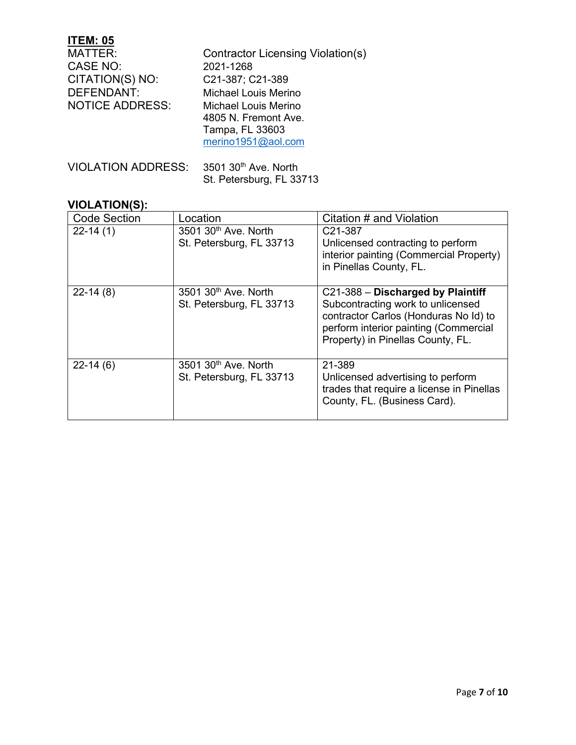# **ITEM: 05**

| MATTER:                | Contractor Licensing Violation(s) |
|------------------------|-----------------------------------|
| CASE NO:               | 2021-1268                         |
| CITATION(S) NO:        | C21-387; C21-389                  |
| DEFENDANT:             | <b>Michael Louis Merino</b>       |
| <b>NOTICE ADDRESS:</b> | Michael Louis Merino              |
|                        | 4805 N. Fremont Ave.              |
|                        | Tampa, FL 33603                   |
|                        | merino1951@aol.com                |
|                        |                                   |
|                        |                                   |

| VIOLATION ADDRESS: 3501 30th Ave, North |                          |
|-----------------------------------------|--------------------------|
|                                         | St. Petersburg, FL 33713 |

| <b>Code Section</b> | Location                                                     | Citation # and Violation                                                                                                                                                                      |
|---------------------|--------------------------------------------------------------|-----------------------------------------------------------------------------------------------------------------------------------------------------------------------------------------------|
| $22-14(1)$          | 3501 30 <sup>th</sup> Ave. North<br>St. Petersburg, FL 33713 | C <sub>21</sub> -387<br>Unlicensed contracting to perform<br>interior painting (Commercial Property)<br>in Pinellas County, FL.                                                               |
| $22-14(8)$          | 3501 30 <sup>th</sup> Ave. North<br>St. Petersburg, FL 33713 | C21-388 - Discharged by Plaintiff<br>Subcontracting work to unlicensed<br>contractor Carlos (Honduras No Id) to<br>perform interior painting (Commercial<br>Property) in Pinellas County, FL. |
| $22-14(6)$          | 3501 30 <sup>th</sup> Ave. North<br>St. Petersburg, FL 33713 | 21-389<br>Unlicensed advertising to perform<br>trades that require a license in Pinellas<br>County, FL. (Business Card).                                                                      |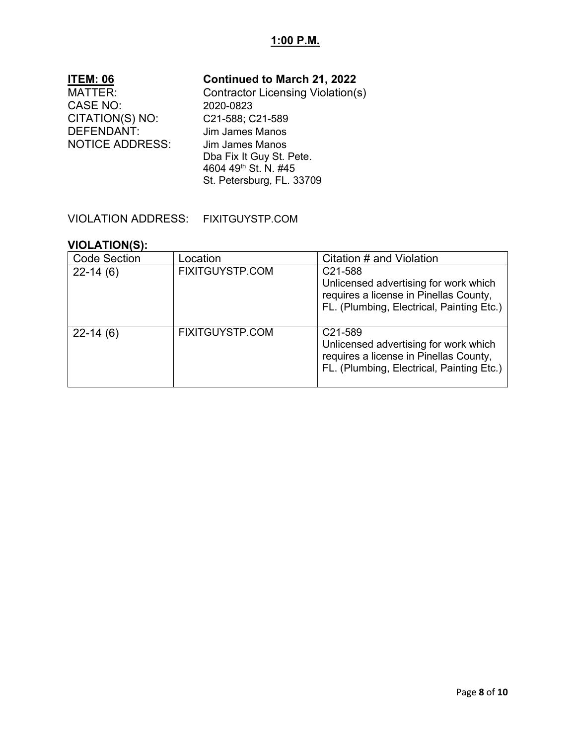### **1:00 P.M.**

| <b>ITEM: 06</b>        | <b>Continued to March 21, 2022</b>       |
|------------------------|------------------------------------------|
| <b>MATTER:</b>         | <b>Contractor Licensing Violation(s)</b> |
| <b>CASE NO:</b>        | 2020-0823                                |
| CITATION(S) NO:        | C21-588; C21-589                         |
| <b>DEFENDANT:</b>      | <b>Jim James Manos</b>                   |
| <b>NOTICE ADDRESS:</b> | <b>Jim James Manos</b>                   |
|                        | Dba Fix It Guy St. Pete.                 |
|                        | 4604 49th St. N. #45                     |
|                        | St. Petersburg, FL. 33709                |
|                        |                                          |

### VIOLATION ADDRESS: FIXITGUYSTP.COM

| <b>Code Section</b> | Location               | Citation # and Violation                                                                                                                             |
|---------------------|------------------------|------------------------------------------------------------------------------------------------------------------------------------------------------|
| $22-14(6)$          | <b>FIXITGUYSTP.COM</b> | C21-588<br>Unlicensed advertising for work which<br>requires a license in Pinellas County,<br>FL. (Plumbing, Electrical, Painting Etc.)              |
| $22-14(6)$          | <b>FIXITGUYSTP.COM</b> | C <sub>21</sub> -589<br>Unlicensed advertising for work which<br>requires a license in Pinellas County,<br>FL. (Plumbing, Electrical, Painting Etc.) |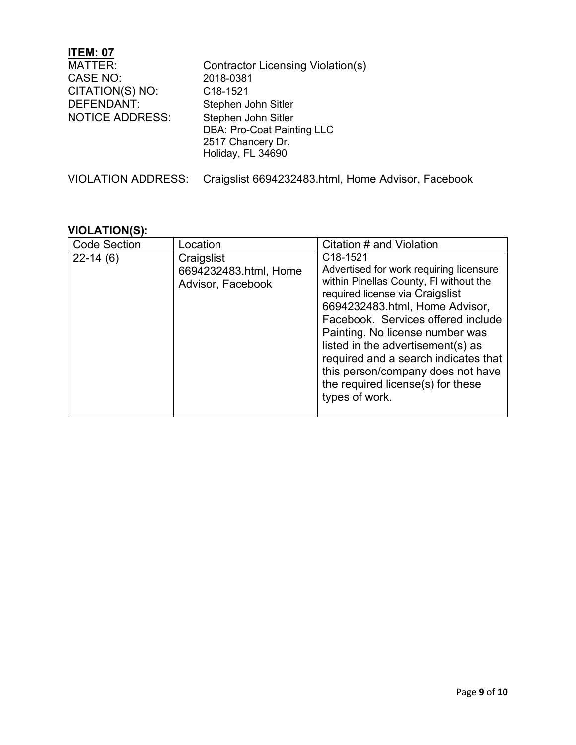### **ITEM: 07** Contractor Licensing Violation(s) CASE NO: 2018-0381 CITATION(S) NO: C18-1521<br>DEFENDANT: Stephen J Stephen John Sitler NOTICE ADDRESS: Stephen John Sitler DBA: Pro-Coat Painting LLC 2517 Chancery Dr. Holiday, FL 34690 VIOLATION ADDRESS: Craigslist 6694232483.html, Home Advisor, Facebook

| <b>Code Section</b> | Location                                                 | Citation # and Violation                                                                                                                                                                                                                                                                                                                                                                                             |
|---------------------|----------------------------------------------------------|----------------------------------------------------------------------------------------------------------------------------------------------------------------------------------------------------------------------------------------------------------------------------------------------------------------------------------------------------------------------------------------------------------------------|
| $22 - 14(6)$        | Craigslist<br>6694232483.html, Home<br>Advisor, Facebook | C18-1521<br>Advertised for work requiring licensure<br>within Pinellas County, FI without the<br>required license via Craigslist<br>6694232483.html, Home Advisor,<br>Facebook. Services offered include<br>Painting. No license number was<br>listed in the advertisement(s) as<br>required and a search indicates that<br>this person/company does not have<br>the required license(s) for these<br>types of work. |